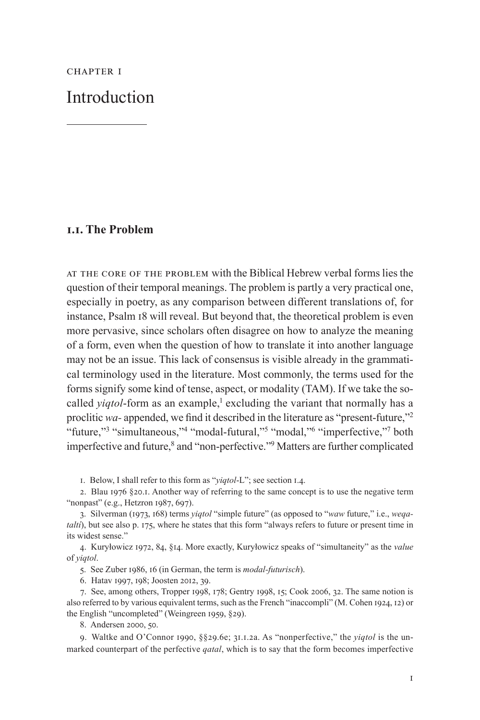CHAPTER I

Introduction

# **1.1. The Problem**

At the core of the problem with the Biblical Hebrew verbal forms lies the question of their temporal meanings. The problem is partly a very practical one, especially in poetry, as any comparison between different translations of, for instance, Psalm 18 will reveal. But beyond that, the theoretical problem is even more pervasive, since scholars often disagree on how to analyze the meaning of a form, even when the question of how to translate it into another language may not be an issue. This lack of consensus is visible already in the grammatical terminology used in the literature. Most commonly, the terms used for the forms signify some kind of tense, aspect, or modality (TAM). If we take the socalled *yiqtol*-form as an example,<sup>1</sup> excluding the variant that normally has a proclitic *wa-* appended, we find it described in the literature as "present-future,"2 "future,"<sup>3</sup> "simultaneous,"<sup>4</sup> "modal-futural,"<sup>5</sup> "modal,"<sup>6</sup> "imperfective,"<sup>7</sup> both imperfective and future,<sup>8</sup> and "non-perfective."<sup>9</sup> Matters are further complicated

1. Below, I shall refer to this form as "*yiqtol*-L"; see section 1.4.

2. Blau 1976 §20.1. Another way of referring to the same concept is to use the negative term "nonpast" (e.g., Hetzron 1987, 697).

3. Silverman (1973, 168) terms *yiqtol* "simple future" (as opposed to "*waw* future," i.e., *weqataltí*), but see also p. 175, where he states that this form "always refers to future or present time in its widest sense."

4. Kuryłowicz 1972, 84, §14. More exactly, Kuryłowicz speaks of "simultaneity" as the *value* of *yiqtol*.

5. See Zuber 1986, 16 (in German, the term is *modal-futurisch*).

6. Hatav 1997, 198; Joosten 2012, 39.

7. See, among others, Tropper 1998, 178; Gentry 1998, 15; Cook 2006, 32. The same notion is also referred to by various equivalent terms, such as the French "inaccompli" (M. Cohen 1924, 12) or the English "uncompleted" (Weingreen 1959, §29).

8. Andersen 2000, 50.

9. Waltke and O'Connor 1990, §§29.6e; 31.1.2a. As "nonperfective," the *yiqtol* is the unmarked counterpart of the perfective *qatal*, which is to say that the form becomes imperfective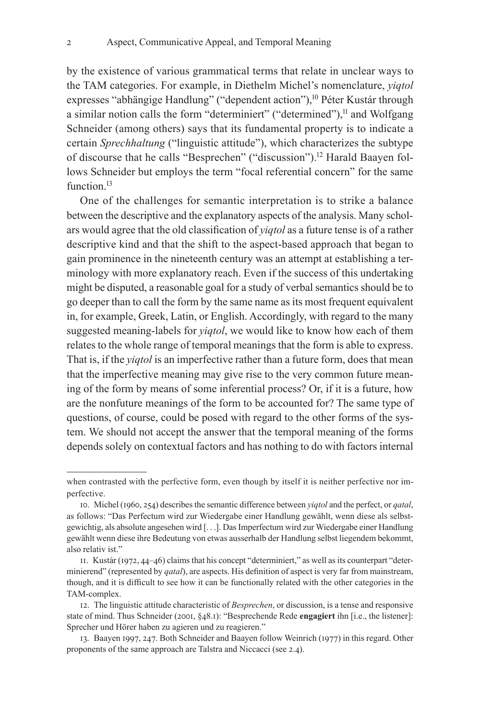by the existence of various grammatical terms that relate in unclear ways to the TAM categories. For example, in Diethelm Michel's nomenclature, *yiqtol* expresses "abhängige Handlung" ("dependent action"),<sup>10</sup> Péter Kustár through a similar notion calls the form "determiniert" ("determined"), $<sup>11</sup>$  and Wolfgang</sup> Schneider (among others) says that its fundamental property is to indicate a certain *Sprechhaltung* ("linguistic attitude"), which characterizes the subtype of discourse that he calls "Besprechen" ("discussion").<sup>12</sup> Harald Baayen follows Schneider but employs the term "focal referential concern" for the same function.<sup>13</sup>

One of the challenges for semantic interpretation is to strike a balance between the descriptive and the explanatory aspects of the analysis. Many scholars would agree that the old classification of *yiqtol* as a future tense is of a rather descriptive kind and that the shift to the aspect-based approach that began to gain prominence in the nineteenth century was an attempt at establishing a terminology with more explanatory reach. Even if the success of this undertaking might be disputed, a reasonable goal for a study of verbal semantics should be to go deeper than to call the form by the same name as its most frequent equivalent in, for example, Greek, Latin, or English. Accordingly, with regard to the many suggested meaning-labels for *yiqtol*, we would like to know how each of them relates to the whole range of temporal meanings that the form is able to express. That is, if the *yiqtol* is an imperfective rather than a future form, does that mean that the imperfective meaning may give rise to the very common future meaning of the form by means of some inferential process? Or, if it is a future, how are the nonfuture meanings of the form to be accounted for? The same type of questions, of course, could be posed with regard to the other forms of the system. We should not accept the answer that the temporal meaning of the forms depends solely on contextual factors and has nothing to do with factors internal

when contrasted with the perfective form, even though by itself it is neither perfective nor imperfective.

<sup>10.</sup> Michel (1960, 254) describes the semantic difference between *yiqtol* and the perfect, or *qatal*, as follows: "Das Perfectum wird zur Wiedergabe einer Handlung gewählt, wenn diese als selbstgewichtig, als absolute angesehen wird [. . .]. Das Imperfectum wird zur Wiedergabe einer Handlung gewählt wenn diese ihre Bedeutung von etwas ausserhalb der Handlung selbst liegendem bekommt, also relativ ist."

<sup>11.</sup> Kustár (1972, 44–46) claims that his concept "determiniert," as well as its counterpart "determinierend" (represented by *qatal*), are aspects. His definition of aspect is very far from mainstream, though, and it is difficult to see how it can be functionally related with the other categories in the TAM-complex.

<sup>12.</sup> The linguistic attitude characteristic of *Besprechen*, or discussion, is a tense and responsive state of mind. Thus Schneider (2001, §48.1): "Besprechende Rede **engagiert** ihn [i.e., the listener]: Sprecher und Hörer haben zu agieren und zu reagieren."

<sup>13.</sup> Baayen 1997, 247. Both Schneider and Baayen follow Weinrich (1977) in this regard. Other proponents of the same approach are Talstra and Niccacci (see 2.4).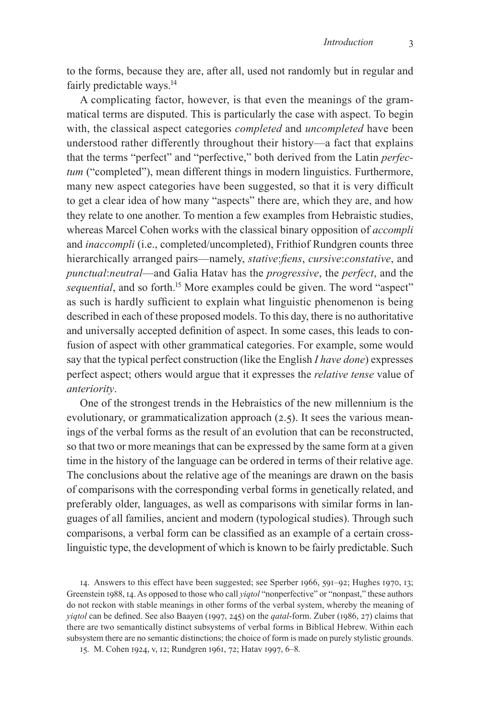to the forms, because they are, after all, used not randomly but in regular and fairly predictable ways.<sup>14</sup>

A complicating factor, however, is that even the meanings of the grammatical terms are disputed. This is particularly the case with aspect. To begin with, the classical aspect categories *completed* and *uncompleted* have been understood rather differently throughout their history—a fact that explains that the terms "perfect" and "perfective," both derived from the Latin *perfectum* ("completed"), mean different things in modern linguistics. Furthermore, many new aspect categories have been suggested, so that it is very difficult to get a clear idea of how many "aspects" there are, which they are, and how they relate to one another. To mention a few examples from Hebraistic studies, whereas Marcel Cohen works with the classical binary opposition of *accompli* and *inaccompli* (i.e., completed/uncompleted), Frithiof Rundgren counts three hierarchically arranged pairs—namely, *stative*:*fiens*, *cursive*:*constative*, and *punctual*:*neutral*—and Galia Hatav has the *progressive*, the *perfect*, and the *sequential*, and so forth.<sup>15</sup> More examples could be given. The word "aspect" as such is hardly sufficient to explain what linguistic phenomenon is being described in each of these proposed models. To this day, there is no authoritative and universally accepted definition of aspect. In some cases, this leads to confusion of aspect with other grammatical categories. For example, some would say that the typical perfect construction (like the English *I have done*) expresses perfect aspect; others would argue that it expresses the *relative tense* value of *anteriority*.

One of the strongest trends in the Hebraistics of the new millennium is the evolutionary, or grammaticalization approach (2.5). It sees the various meanings of the verbal forms as the result of an evolution that can be reconstructed, so that two or more meanings that can be expressed by the same form at a given time in the history of the language can be ordered in terms of their relative age. The conclusions about the relative age of the meanings are drawn on the basis of comparisons with the corresponding verbal forms in genetically related, and preferably older, languages, as well as comparisons with similar forms in languages of all families, ancient and modern (typological studies). Through such comparisons, a verbal form can be classified as an example of a certain crosslinguistic type, the development of which is known to be fairly predictable. Such

14. Answers to this effect have been suggested; see Sperber 1966, 591–92; Hughes 1970, 13; Greenstein 1988, 14. As opposed to those who call *yiqtol* "nonperfective" or "nonpast," these authors do not reckon with stable meanings in other forms of the verbal system, whereby the meaning of *yiqtol* can be defined. See also Baayen (1997, 245) on the *qatal*-form. Zuber (1986, 27) claims that there are two semantically distinct subsystems of verbal forms in Biblical Hebrew. Within each subsystem there are no semantic distinctions; the choice of form is made on purely stylistic grounds.

15. M. Cohen 1924, v, 12; Rundgren 1961, 72; Hatav 1997, 6–8.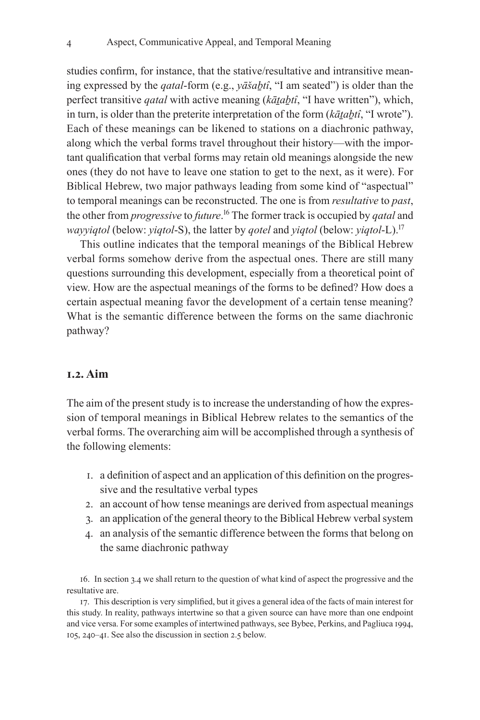studies confirm, for instance, that the stative/resultative and intransitive meaning expressed by the *qatal*-form (e.g., *yāšaḇtî*, "I am seated") is older than the perfect transitive *qatal* with active meaning (*kāṯaḇtî*, "I have written"), which, in turn, is older than the preterite interpretation of the form (*kāṯaḇtî*, "I wrote"). Each of these meanings can be likened to stations on a diachronic pathway, along which the verbal forms travel throughout their history—with the important qualification that verbal forms may retain old meanings alongside the new ones (they do not have to leave one station to get to the next, as it were). For Biblical Hebrew, two major pathways leading from some kind of "aspectual" to temporal meanings can be reconstructed. The one is from *resultative* to *past*, the other from *progressive* to *future*. 16 The former track is occupied by *qatal* and *wayyiqtol* (below: *yiqtol*-S), the latter by *qotel* and *yiqtol* (below: *yiqtol*-L).17

This outline indicates that the temporal meanings of the Biblical Hebrew verbal forms somehow derive from the aspectual ones. There are still many questions surrounding this development, especially from a theoretical point of view. How are the aspectual meanings of the forms to be defined? How does a certain aspectual meaning favor the development of a certain tense meaning? What is the semantic difference between the forms on the same diachronic pathway?

## **1.2. Aim**

The aim of the present study is to increase the understanding of how the expression of temporal meanings in Biblical Hebrew relates to the semantics of the verbal forms. The overarching aim will be accomplished through a synthesis of the following elements:

- 1. a definition of aspect and an application of this definition on the progressive and the resultative verbal types
- 2. an account of how tense meanings are derived from aspectual meanings
- 3. an application of the general theory to the Biblical Hebrew verbal system
- 4. an analysis of the semantic difference between the forms that belong on the same diachronic pathway

16. In section 3.4 we shall return to the question of what kind of aspect the progressive and the resultative are.

17. This description is very simplified, but it gives a general idea of the facts of main interest for this study. In reality, pathways intertwine so that a given source can have more than one endpoint and vice versa. For some examples of intertwined pathways, see Bybee, Perkins, and Pagliuca 1994, 105, 240–41. See also the discussion in section 2.5 below.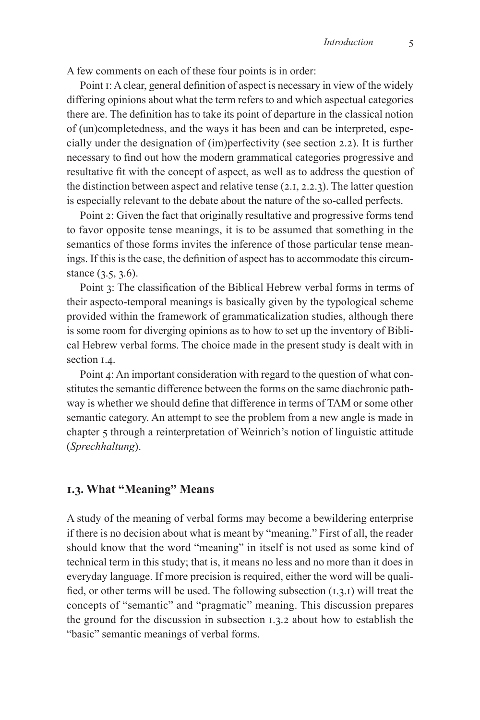A few comments on each of these four points is in order:

Point 1: Aclear, general definition of aspect is necessary in view of the widely differing opinions about what the term refers to and which aspectual categories there are. The definition has to take its point of departure in the classical notion of (un)completedness, and the ways it has been and can be interpreted, especially under the designation of (im)perfectivity (see section 2.2). It is further necessary to find out how the modern grammatical categories progressive and resultative fit with the concept of aspect, as well as to address the question of the distinction between aspect and relative tense (2.1, 2.2.3). The latter question is especially relevant to the debate about the nature of the so-called perfects.

Point 2: Given the fact that originally resultative and progressive forms tend to favor opposite tense meanings, it is to be assumed that something in the semantics of those forms invites the inference of those particular tense meanings. If this is the case, the definition of aspect has to accommodate this circumstance (3.5, 3.6).

Point 3: The classification of the Biblical Hebrew verbal forms in terms of their aspecto-temporal meanings is basically given by the typological scheme provided within the framework of grammaticalization studies, although there is some room for diverging opinions as to how to set up the inventory of Biblical Hebrew verbal forms. The choice made in the present study is dealt with in section 1.4.

Point 4: An important consideration with regard to the question of what constitutes the semantic difference between the forms on the same diachronic pathway is whether we should define that difference in terms of TAM or some other semantic category. An attempt to see the problem from a new angle is made in chapter 5 through a reinterpretation of Weinrich's notion of linguistic attitude (*Sprechhaltung*).

## **1.3. What "Meaning" Means**

A study of the meaning of verbal forms may become a bewildering enterprise if there is no decision about what is meant by "meaning." First of all, the reader should know that the word "meaning" in itself is not used as some kind of technical term in this study; that is, it means no less and no more than it does in everyday language. If more precision is required, either the word will be qualified, or other terms will be used. The following subsection  $(1, 3, 1)$  will treat the concepts of "semantic" and "pragmatic" meaning. This discussion prepares the ground for the discussion in subsection 1.3.2 about how to establish the "basic" semantic meanings of verbal forms.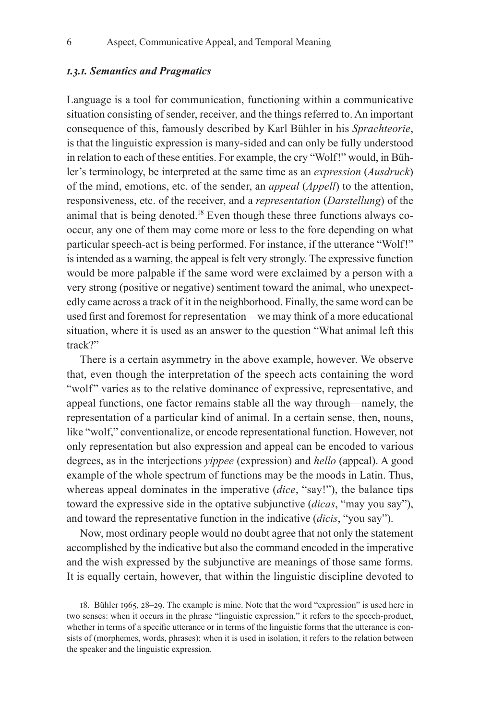### *1.3.1. Semantics and Pragmatics*

Language is a tool for communication, functioning within a communicative situation consisting of sender, receiver, and the things referred to. An important consequence of this, famously described by Karl Bühler in his *Sprachteorie*, is that the linguistic expression is many-sided and can only be fully understood in relation to each of these entities. For example, the cry "Wolf!" would, in Bühler's terminology, be interpreted at the same time as an *expression* (*Ausdruck*) of the mind, emotions, etc. of the sender, an *appeal* (*Appell*) to the attention, responsiveness, etc. of the receiver, and a *representation* (*Darstellung*) of the animal that is being denoted.18 Even though these three functions always cooccur, any one of them may come more or less to the fore depending on what particular speech-act is being performed. For instance, if the utterance "Wolf!" is intended as a warning, the appeal is felt very strongly. The expressive function would be more palpable if the same word were exclaimed by a person with a very strong (positive or negative) sentiment toward the animal, who unexpectedly came across a track of it in the neighborhood. Finally, the same word can be used first and foremost for representation—we may think of a more educational situation, where it is used as an answer to the question "What animal left this track?"

There is a certain asymmetry in the above example, however. We observe that, even though the interpretation of the speech acts containing the word "wolf " varies as to the relative dominance of expressive, representative, and appeal functions, one factor remains stable all the way through—namely, the representation of a particular kind of animal. In a certain sense, then, nouns, like "wolf," conventionalize, or encode representational function. However, not only representation but also expression and appeal can be encoded to various degrees, as in the interjections *yippee* (expression) and *hello* (appeal). A good example of the whole spectrum of functions may be the moods in Latin. Thus, whereas appeal dominates in the imperative (*dice*, "say!"), the balance tips toward the expressive side in the optative subjunctive (*dicas*, "may you say"), and toward the representative function in the indicative (*dicis*, "you say").

Now, most ordinary people would no doubt agree that not only the statement accomplished by the indicative but also the command encoded in the imperative and the wish expressed by the subjunctive are meanings of those same forms. It is equally certain, however, that within the linguistic discipline devoted to

<sup>18.</sup> Bühler 1965, 28–29. The example is mine. Note that the word "expression" is used here in two senses: when it occurs in the phrase "linguistic expression," it refers to the speech-product, whether in terms of a specific utterance or in terms of the linguistic forms that the utterance is consists of (morphemes, words, phrases); when it is used in isolation, it refers to the relation between the speaker and the linguistic expression.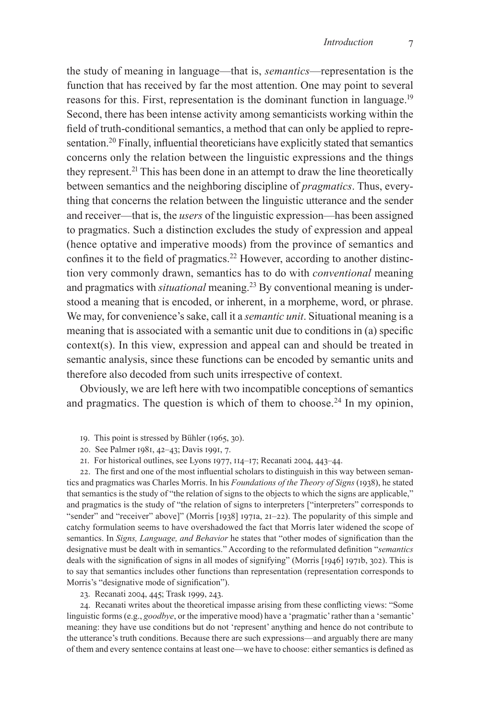the study of meaning in language—that is, *semantics*—representation is the function that has received by far the most attention. One may point to several reasons for this. First, representation is the dominant function in language.<sup>19</sup> Second, there has been intense activity among semanticists working within the field of truth-conditional semantics, a method that can only be applied to representation.20 Finally, influential theoreticians have explicitly stated that semantics concerns only the relation between the linguistic expressions and the things they represent.21 This has been done in an attempt to draw the line theoretically between semantics and the neighboring discipline of *pragmatics*. Thus, everything that concerns the relation between the linguistic utterance and the sender and receiver—that is, the *users* of the linguistic expression—has been assigned to pragmatics. Such a distinction excludes the study of expression and appeal (hence optative and imperative moods) from the province of semantics and confines it to the field of pragmatics.22 However, according to another distinction very commonly drawn, semantics has to do with *conventional* meaning and pragmatics with *situational* meaning.<sup>23</sup> By conventional meaning is understood a meaning that is encoded, or inherent, in a morpheme, word, or phrase. We may, for convenience's sake, call it a *semantic unit*. Situational meaning is a meaning that is associated with a semantic unit due to conditions in (a) specific context(s). In this view, expression and appeal can and should be treated in semantic analysis, since these functions can be encoded by semantic units and therefore also decoded from such units irrespective of context.

Obviously, we are left here with two incompatible conceptions of semantics and pragmatics. The question is which of them to choose.<sup>24</sup> In my opinion,

- 19. This point is stressed by Bühler (1965, 30).
- 20. See Palmer 1981, 42–43; Davis 1991, 7.

21. For historical outlines, see Lyons 1977, 114–17; Recanati 2004, 443–44.

22. The first and one of the most influential scholars to distinguish in this way between semantics and pragmatics was Charles Morris. In his *Foundations of the Theory of Signs* (1938), he stated that semantics is the study of "the relation of signs to the objects to which the signs are applicable," and pragmatics is the study of "the relation of signs to interpreters ["interpreters" corresponds to "sender" and "receiver" above]" (Morris [1938] 1971a, 21–22). The popularity of this simple and catchy formulation seems to have overshadowed the fact that Morris later widened the scope of semantics. In *Signs, Language, and Behavior* he states that "other modes of signification than the designative must be dealt with in semantics." According to the reformulated definition "*semantics* deals with the signification of signs in all modes of signifying" (Morris [1946] 1971b, 302). This is to say that semantics includes other functions than representation (representation corresponds to Morris's "designative mode of signification").

23. Recanati 2004, 445; Trask 1999, 243.

24. Recanati writes about the theoretical impasse arising from these conflicting views: "Some linguistic forms (e.g., *goodbye*, or the imperative mood) have a 'pragmatic' rather than a 'semantic' meaning: they have use conditions but do not 'represent' anything and hence do not contribute to the utterance's truth conditions. Because there are such expressions—and arguably there are many of them and every sentence contains at least one—we have to choose: either semantics is defined as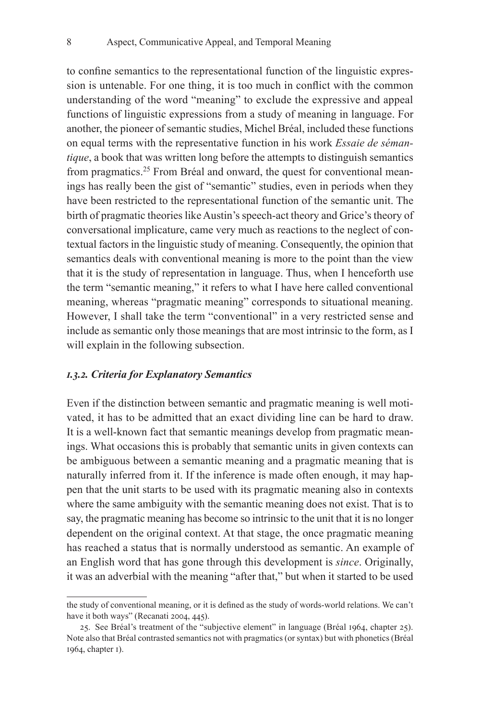to confine semantics to the representational function of the linguistic expression is untenable. For one thing, it is too much in conflict with the common understanding of the word "meaning" to exclude the expressive and appeal functions of linguistic expressions from a study of meaning in language. For another, the pioneer of semantic studies, Michel Bréal, included these functions on equal terms with the representative function in his work *Essaie de sémantique*, a book that was written long before the attempts to distinguish semantics from pragmatics.25 From Bréal and onward, the quest for conventional meanings has really been the gist of "semantic" studies, even in periods when they have been restricted to the representational function of the semantic unit. The birth of pragmatic theories like Austin's speech-act theory and Grice's theory of conversational implicature, came very much as reactions to the neglect of contextual factors in the linguistic study of meaning. Consequently, the opinion that semantics deals with conventional meaning is more to the point than the view that it is the study of representation in language. Thus, when I henceforth use the term "semantic meaning," it refers to what I have here called conventional meaning, whereas "pragmatic meaning" corresponds to situational meaning. However, I shall take the term "conventional" in a very restricted sense and include as semantic only those meanings that are most intrinsic to the form, as I will explain in the following subsection.

#### *1.3.2. Criteria for Explanatory Semantics*

Even if the distinction between semantic and pragmatic meaning is well motivated, it has to be admitted that an exact dividing line can be hard to draw. It is a well-known fact that semantic meanings develop from pragmatic meanings. What occasions this is probably that semantic units in given contexts can be ambiguous between a semantic meaning and a pragmatic meaning that is naturally inferred from it. If the inference is made often enough, it may happen that the unit starts to be used with its pragmatic meaning also in contexts where the same ambiguity with the semantic meaning does not exist. That is to say, the pragmatic meaning has become so intrinsic to the unit that it is no longer dependent on the original context. At that stage, the once pragmatic meaning has reached a status that is normally understood as semantic. An example of an English word that has gone through this development is *since*. Originally, it was an adverbial with the meaning "after that," but when it started to be used

the study of conventional meaning, or it is defined as the study of words-world relations. We can't have it both ways" (Recanati 2004, 445).

<sup>25.</sup> See Bréal's treatment of the "subjective element" in language (Bréal 1964, chapter 25). Note also that Bréal contrasted semantics not with pragmatics (orsyntax) but with phonetics (Bréal 1964, chapter 1).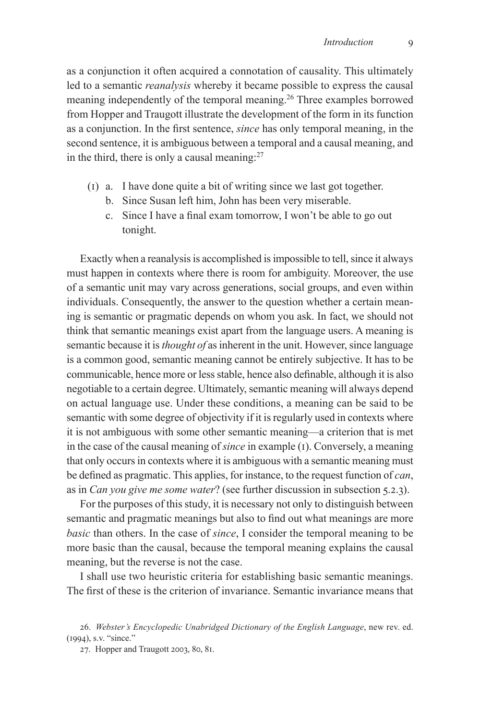as a conjunction it often acquired a connotation of causality. This ultimately led to a semantic *reanalysis* whereby it became possible to express the causal meaning independently of the temporal meaning.<sup>26</sup> Three examples borrowed from Hopper and Traugott illustrate the development of the form in its function as a conjunction. In the first sentence, *since* has only temporal meaning, in the second sentence, it is ambiguous between a temporal and a causal meaning, and in the third, there is only a causal meaning: $27$ 

- (1) a. I have done quite a bit of writing since we last got together.
	- b. Since Susan left him, John has been very miserable.
	- c. Since I have a final exam tomorrow, I won't be able to go out tonight.

Exactly when a reanalysis is accomplished is impossible to tell, since it always must happen in contexts where there is room for ambiguity. Moreover, the use of a semantic unit may vary across generations, social groups, and even within individuals. Consequently, the answer to the question whether a certain meaning is semantic or pragmatic depends on whom you ask. In fact, we should not think that semantic meanings exist apart from the language users. A meaning is semantic because it is *thought of* as inherent in the unit. However, since language is a common good, semantic meaning cannot be entirely subjective. It has to be communicable, hence more or less stable, hence also definable, although it is also negotiable to a certain degree. Ultimately, semantic meaning will always depend on actual language use. Under these conditions, a meaning can be said to be semantic with some degree of objectivity if it is regularly used in contexts where it is not ambiguous with some other semantic meaning—a criterion that is met in the case of the causal meaning of *since* in example (1). Conversely, a meaning that only occurs in contexts where it is ambiguous with a semantic meaning must be defined as pragmatic. This applies, for instance, to the request function of *can*, as in *Can you give me some water*? (see further discussion in subsection 5.2.3).

For the purposes of this study, it is necessary not only to distinguish between semantic and pragmatic meanings but also to find out what meanings are more *basic* than others. In the case of *since*, I consider the temporal meaning to be more basic than the causal, because the temporal meaning explains the causal meaning, but the reverse is not the case.

I shall use two heuristic criteria for establishing basic semantic meanings. The first of these is the criterion of invariance. Semantic invariance means that

<sup>26.</sup> *Webster's Encyclopedic Unabridged Dictionary of the English Language*, new rev. ed. (1994), s.v. "since."

<sup>27.</sup> Hopper and Traugott 2003, 80, 81.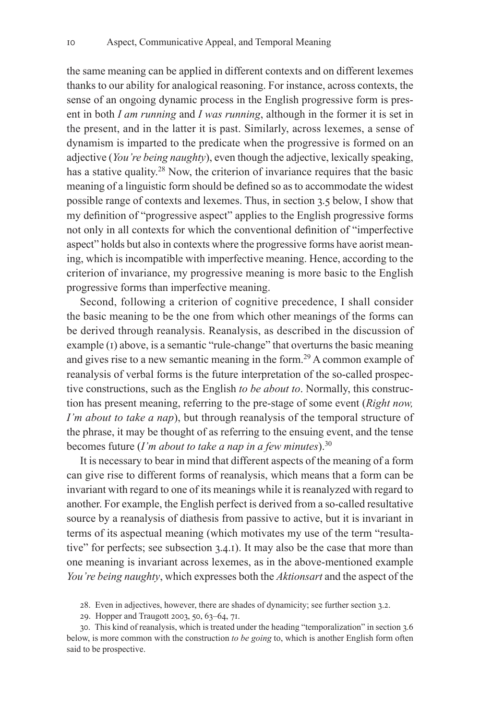the same meaning can be applied in different contexts and on different lexemes thanks to our ability for analogical reasoning. For instance, across contexts, the sense of an ongoing dynamic process in the English progressive form is present in both *I am running* and *I was running*, although in the former it is set in the present, and in the latter it is past. Similarly, across lexemes, a sense of dynamism is imparted to the predicate when the progressive is formed on an adjective (*You're being naughty*), even though the adjective, lexically speaking, has a stative quality.<sup>28</sup> Now, the criterion of invariance requires that the basic meaning of a linguistic form should be defined so as to accommodate the widest possible range of contexts and lexemes. Thus, in section 3.5 below, I show that my definition of "progressive aspect" applies to the English progressive forms not only in all contexts for which the conventional definition of "imperfective aspect" holds but also in contexts where the progressive forms have aorist meaning, which is incompatible with imperfective meaning. Hence, according to the criterion of invariance, my progressive meaning is more basic to the English progressive forms than imperfective meaning.

Second, following a criterion of cognitive precedence, I shall consider the basic meaning to be the one from which other meanings of the forms can be derived through reanalysis. Reanalysis, as described in the discussion of example (1) above, is a semantic "rule-change" that overturns the basic meaning and gives rise to a new semantic meaning in the form.<sup>29</sup> A common example of reanalysis of verbal forms is the future interpretation of the so-called prospective constructions, such as the English *to be about to*. Normally, this construction has present meaning, referring to the pre-stage of some event (*Right now, I'm about to take a nap*), but through reanalysis of the temporal structure of the phrase, it may be thought of as referring to the ensuing event, and the tense becomes future (*I'm about to take a nap in a few minutes*).30

It is necessary to bear in mind that different aspects of the meaning of a form can give rise to different forms of reanalysis, which means that a form can be invariant with regard to one of its meanings while it is reanalyzed with regard to another. For example, the English perfect is derived from a so-called resultative source by a reanalysis of diathesis from passive to active, but it is invariant in terms of its aspectual meaning (which motivates my use of the term "resultative" for perfects; see subsection 3.4.1). It may also be the case that more than one meaning is invariant across lexemes, as in the above-mentioned example *You're being naughty*, which expresses both the *Aktionsart* and the aspect of the

28. Even in adjectives, however, there are shades of dynamicity; see further section 3.2.

29. Hopper and Traugott 2003, 50, 63–64, 71.

30. This kind of reanalysis, which is treated under the heading "temporalization" in section 3.6 below, is more common with the construction *to be going* to, which is another English form often said to be prospective.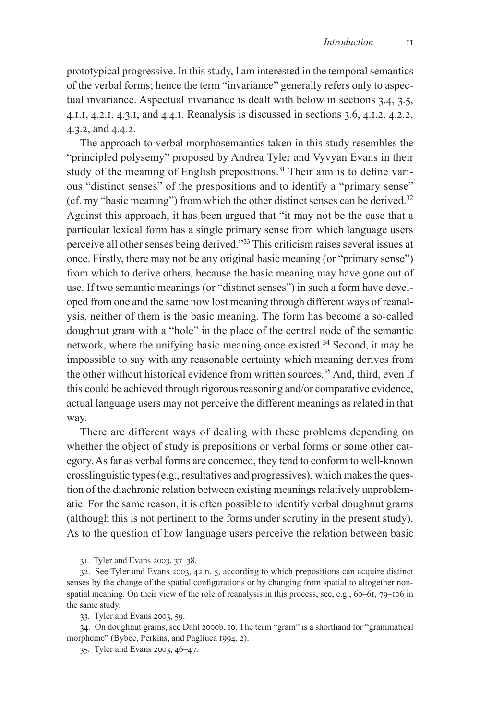prototypical progressive. In this study, I am interested in the temporal semantics of the verbal forms; hence the term "invariance" generally refers only to aspectual invariance. Aspectual invariance is dealt with below in sections 3.4, 3.5, 4.1.1, 4.2.1, 4.3.1, and 4.4.1. Reanalysis is discussed in sections 3.6, 4.1.2, 4.2.2, 4.3.2, and 4.4.2.

The approach to verbal morphosemantics taken in this study resembles the "principled polysemy" proposed by Andrea Tyler and Vyvyan Evans in their study of the meaning of English prepositions.<sup>31</sup> Their aim is to define various "distinct senses" of the prespositions and to identify a "primary sense" (cf. my "basic meaning") from which the other distinct senses can be derived.<sup>32</sup> Against this approach, it has been argued that "it may not be the case that a particular lexical form has a single primary sense from which language users perceive all other senses being derived."33 This criticism raises several issues at once. Firstly, there may not be any original basic meaning (or "primary sense") from which to derive others, because the basic meaning may have gone out of use. If two semantic meanings (or "distinct senses") in such a form have developed from one and the same now lost meaning through different ways of reanalysis, neither of them is the basic meaning. The form has become a so-called doughnut gram with a "hole" in the place of the central node of the semantic network, where the unifying basic meaning once existed.34 Second, it may be impossible to say with any reasonable certainty which meaning derives from the other without historical evidence from written sources.<sup>35</sup> And, third, even if this could be achieved through rigorous reasoning and/or comparative evidence, actual language users may not perceive the different meanings as related in that way.

There are different ways of dealing with these problems depending on whether the object of study is prepositions or verbal forms or some other category. As far as verbal forms are concerned, they tend to conform to well-known crosslinguistic types (e.g., resultatives and progressives), which makes the question of the diachronic relation between existing meanings relatively unproblematic. For the same reason, it is often possible to identify verbal doughnut grams (although this is not pertinent to the forms under scrutiny in the present study). As to the question of how language users perceive the relation between basic

31. Tyler and Evans 2003, 37–38.

32. See Tyler and Evans 2003, 42 n. 5, according to which prepositions can acquire distinct senses by the change of the spatial configurations or by changing from spatial to altogether nonspatial meaning. On their view of the role of reanalysis in this process, see, e.g., 60–61, 79–106 in the same study.

33. Tyler and Evans 2003, 59.

34. On doughnut grams, see Dahl 2000b, 10. The term "gram" is a shorthand for "grammatical morpheme" (Bybee, Perkins, and Pagliuca 1994, 2).

35. Tyler and Evans 2003, 46–47.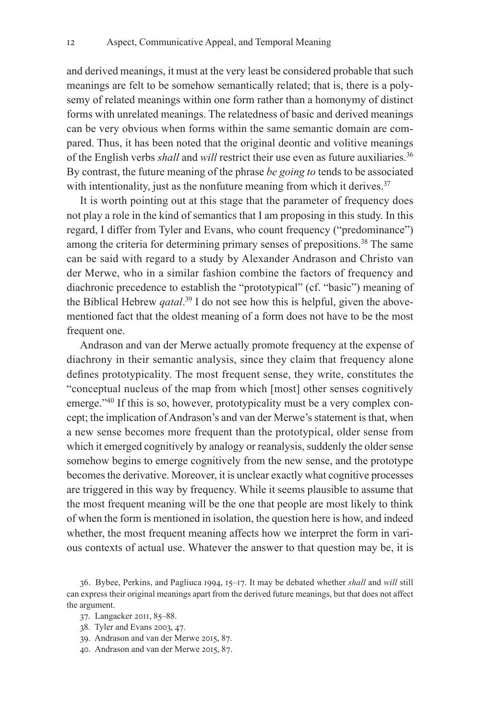and derived meanings, it must at the very least be considered probable that such meanings are felt to be somehow semantically related; that is, there is a polysemy of related meanings within one form rather than a homonymy of distinct forms with unrelated meanings. The relatedness of basic and derived meanings can be very obvious when forms within the same semantic domain are compared. Thus, it has been noted that the original deontic and volitive meanings of the English verbs *shall* and *will* restrict their use even as future auxiliaries.<sup>36</sup> By contrast, the future meaning of the phrase *be going to* tends to be associated with intentionality, just as the nonfuture meaning from which it derives.<sup>37</sup>

It is worth pointing out at this stage that the parameter of frequency does not play a role in the kind of semantics that I am proposing in this study. In this regard, I differ from Tyler and Evans, who count frequency ("predominance") among the criteria for determining primary senses of prepositions.<sup>38</sup> The same can be said with regard to a study by Alexander Andrason and Christo van der Merwe, who in a similar fashion combine the factors of frequency and diachronic precedence to establish the "prototypical" (cf. "basic") meaning of the Biblical Hebrew *qatal*. 39 I do not see how this is helpful, given the abovementioned fact that the oldest meaning of a form does not have to be the most frequent one.

Andrason and van der Merwe actually promote frequency at the expense of diachrony in their semantic analysis, since they claim that frequency alone defines prototypicality. The most frequent sense, they write, constitutes the "conceptual nucleus of the map from which [most] other senses cognitively emerge."<sup>40</sup> If this is so, however, prototypicality must be a very complex concept; the implication of Andrason's and van der Merwe's statement is that, when a new sense becomes more frequent than the prototypical, older sense from which it emerged cognitively by analogy or reanalysis, suddenly the older sense somehow begins to emerge cognitively from the new sense, and the prototype becomes the derivative. Moreover, it is unclear exactly what cognitive processes are triggered in this way by frequency. While it seems plausible to assume that the most frequent meaning will be the one that people are most likely to think of when the form is mentioned in isolation, the question here is how, and indeed whether, the most frequent meaning affects how we interpret the form in various contexts of actual use. Whatever the answer to that question may be, it is

- 38. Tyler and Evans 2003, 47.
- 39. Andrason and van der Merwe 2015, 87.
- 40. Andrason and van der Merwe 2015, 87.

<sup>36.</sup> Bybee, Perkins, and Pagliuca 1994, 15–17. It may be debated whether *shall* and *will* still can express their original meanings apart from the derived future meanings, but that does not affect the argument.

<sup>37.</sup> Langacker 2011, 85–88.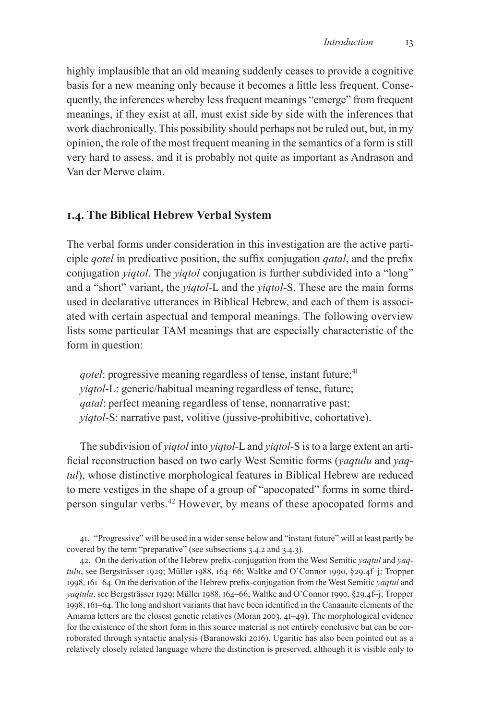highly implausible that an old meaning suddenly ceases to provide a cognitive basis for a new meaning only because it becomes a little less frequent. Consequently, the inferences whereby less frequent meanings "emerge" from frequent meanings, if they exist at all, must exist side by side with the inferences that work diachronically. This possibility should perhaps not be ruled out, but, in my opinion, the role of the most frequent meaning in the semantics of a form is still very hard to assess, and it is probably not quite as important as Andrason and Van der Merwe claim.

# **1.4. The Biblical Hebrew Verbal System**

The verbal forms under consideration in this investigation are the active participle *qotel* in predicative position, the suffix conjugation *qatal*, and the prefix conjugation *yiqtol*. The *yiqtol* conjugation is further subdivided into a "long" and a "short" variant, the *yiqtol*-L and the *yiqtol*-S. These are the main forms used in declarative utterances in Biblical Hebrew, and each of them is associated with certain aspectual and temporal meanings. The following overview lists some particular TAM meanings that are especially characteristic of the form in question:

*qotel*: progressive meaning regardless of tense, instant future;<sup>41</sup> *yiqtol*-L: generic/habitual meaning regardless of tense, future; *qatal*: perfect meaning regardless of tense, nonnarrative past; *yiqtol*-S: narrative past, volitive (jussive-prohibitive, cohortative).

The subdivision of *yiqtol* into *yiqtol*-L and *yiqtol*-S is to a large extent an artificial reconstruction based on two early West Semitic forms (*yaqtulu* and *yaqtul*), whose distinctive morphological features in Biblical Hebrew are reduced to mere vestiges in the shape of a group of "apocopated" forms in some thirdperson singular verbs.<sup>42</sup> However, by means of these apocopated forms and

41. "Progressive" will be used in a wider sense below and "instant future" will at least partly be covered by the term "preparative" (see subsections 3.4.2 and 3.4.3).

42. On the derivation of the Hebrew prefix-conjugation from the West Semitic *yaqtul* and *yaqtulu*, see Bergsträsser 1929; Müller 1988, 164–66; Waltke and O'Connor 1990, §29.4f–j; Tropper 1998, 161–64. On the derivation of the Hebrew prefix-conjugation from the West Semitic *yaqtul* and *yaqtulu*, see Bergsträsser 1929; Müller 1988, 164–66; Waltke and O'Connor 1990, §29.4f–j; Tropper 1998, 161–64. The long and short variants that have been identified in the Canaanite elements of the Amarna letters are the closest genetic relatives (Moran 2003, 41–49). The morphological evidence for the existence of the short form in this source material is not entirely conclusive but can be corroborated through syntactic analysis (Baranowski 2016). Ugaritic has also been pointed out as a relatively closely related language where the distinction is preserved, although it is visible only to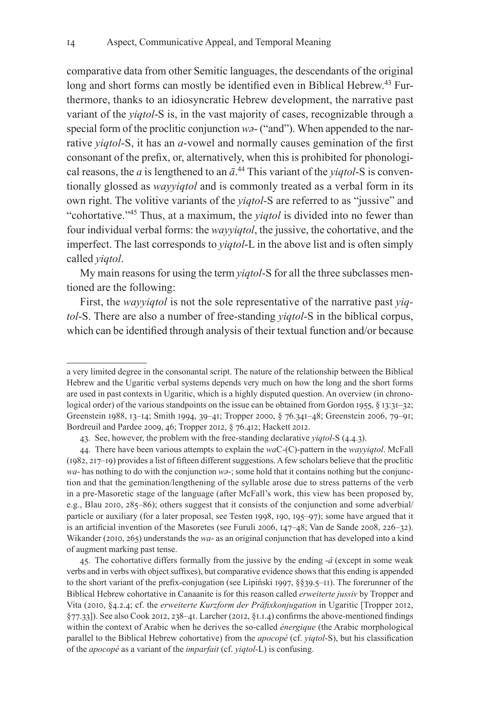comparative data from other Semitic languages, the descendants of the original long and short forms can mostly be identified even in Biblical Hebrew.<sup>43</sup> Furthermore, thanks to an idiosyncratic Hebrew development, the narrative past variant of the *yiqtol*-S is, in the vast majority of cases, recognizable through a special form of the proclitic conjunction *wə*- ("and"). When appended to the narrative *yiqtol*-S, it has an *a*-vowel and normally causes gemination of the first consonant of the prefix, or, alternatively, when this is prohibited for phonological reasons, the  $a$  is lengthened to an  $\bar{a}$ .<sup>44</sup> This variant of the *yiqtol*-S is conventionally glossed as *wayyiqtol* and is commonly treated as a verbal form in its own right. The volitive variants of the *yiqtol*-S are referred to as "jussive" and "cohortative."45 Thus, at a maximum, the *yiqtol* is divided into no fewer than four individual verbal forms: the *wayyiqtol*, the jussive, the cohortative, and the imperfect. The last corresponds to *yiqtol*-L in the above list and is often simply called *yiqtol*.

My main reasons for using the term *yiqtol*-S for all the three subclasses mentioned are the following:

First, the *wayyiqtol* is not the sole representative of the narrative past *yiqtol*-S. There are also a number of free-standing *yiqtol*-S in the biblical corpus, which can be identified through analysis of their textual function and/or because

a very limited degree in the consonantal script. The nature of the relationship between the Biblical Hebrew and the Ugaritic verbal systems depends very much on how the long and the short forms are used in past contexts in Ugaritic, which is a highly disputed question. An overview (in chronological order) of the various standpoints on the issue can be obtained from Gordon 1955, § 13:31–32; Greenstein 1988, 13–14; Smith 1994, 39–41; Tropper 2000, § 76.341–48; Greenstein 2006, 79–91; Bordreuil and Pardee 2009, 46; Tropper 2012, § 76.412; Hackett 2012.

<sup>43.</sup> See, however, the problem with the free-standing declarative *yiqtol*-S (4.4.3).

<sup>44.</sup> There have been various attempts to explain the *wa*C-(C)-pattern in the *wayyiqtol*. McFall (1982, 217–19) provides a list of fifteen different suggestions. Afew scholars believe that the proclitic  $wa$ - has nothing to do with the conjunction  $wz$ -; some hold that it contains nothing but the conjunction and that the gemination/lengthening of the syllable arose due to stress patterns of the verb in a pre-Masoretic stage of the language (after McFall's work, this view has been proposed by, e.g., Blau 2010, 285–86); others suggest that it consists of the conjunction and some adverbial/ particle or auxiliary (for a later proposal, see Testen 1998, 190, 195–97); some have argued that it is an artificial invention of the Masoretes (see Furuli 2006, 147–48; Van de Sande 2008, 226–32). Wikander (2010, 265) understands the *wa*- as an original conjunction that has developed into a kind of augment marking past tense.

<sup>45.</sup> The cohortative differs formally from the jussive by the ending -*â* (except in some weak verbs and in verbs with object suffixes), but comparative evidence shows that this ending is appended to the short variant of the prefix-conjugation (see Lipiński 1997, §§39.5–11). The forerunner of the Biblical Hebrew cohortative in Canaanite is for this reason called *erweiterte jussiv* by Tropper and Vita (2010, §4.2.4; cf. the *erweiterte Kurzform der Präfixkonjugation* in Ugaritic [Tropper 2012, §77.33]). See also Cook 2012, 238–41. Larcher (2012, §1.1.4) confirms the above-mentioned findings within the context of Arabic when he derives the so-called *énergique* (the Arabic morphological parallel to the Biblical Hebrew cohortative) from the *apocopé* (cf. *yiqtol*-S), but his classification of the *apocopé* as a variant of the *imparfait* (cf. *yiqtol*-L) is confusing.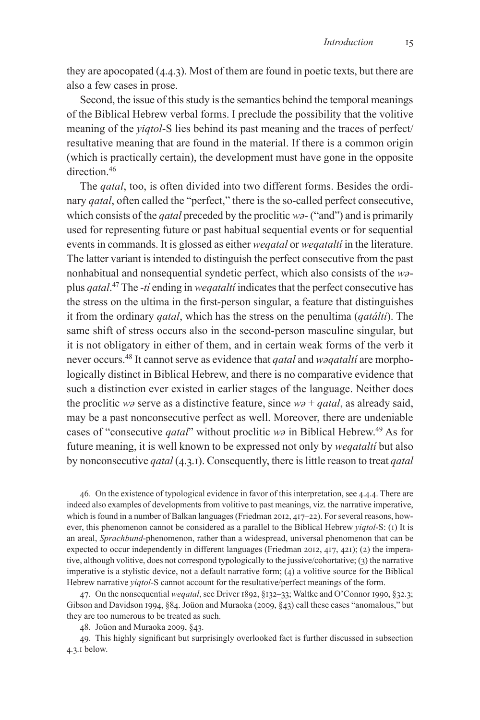they are apocopated (4.4.3). Most of them are found in poetic texts, but there are also a few cases in prose.

Second, the issue of this study is the semantics behind the temporal meanings of the Biblical Hebrew verbal forms. I preclude the possibility that the volitive meaning of the *yiqtol*-S lies behind its past meaning and the traces of perfect/ resultative meaning that are found in the material. If there is a common origin (which is practically certain), the development must have gone in the opposite direction.46

The *qatal*, too, is often divided into two different forms. Besides the ordinary *qatal*, often called the "perfect," there is the so-called perfect consecutive, which consists of the *qatal* preceded by the proclitic *wə*- ("and") and is primarily used for representing future or past habitual sequential events or for sequential events in commands. It is glossed as either *weqatal* or *weqataltí* in the literature. The latter variant is intended to distinguish the perfect consecutive from the past nonhabitual and nonsequential syndetic perfect, which also consists of the *wə*plus *qatal*. 47 The -*tí* ending in *weqataltí* indicates that the perfect consecutive has the stress on the ultima in the first-person singular, a feature that distinguishes it from the ordinary *qatal*, which has the stress on the penultima (*qatálti*). The same shift of stress occurs also in the second-person masculine singular, but it is not obligatory in either of them, and in certain weak forms of the verb it never occurs.48 It cannot serve as evidence that *qatal* and *wəqataltí* are morphologically distinct in Biblical Hebrew, and there is no comparative evidence that such a distinction ever existed in earlier stages of the language. Neither does the proclitic *wə* serve as a distinctive feature, since *wə* + *qatal*, as already said, may be a past nonconsecutive perfect as well. Moreover, there are undeniable cases of "consecutive *qatal*" without proclitic *wə* in Biblical Hebrew.49 As for future meaning, it is well known to be expressed not only by *weqataltí* but also by nonconsecutive *qatal* (4.3.1). Consequently, there is little reason to treat *qatal*

46. On the existence of typological evidence in favor of this interpretation, see 4.4.4. There are indeed also examples of developments from volitive to past meanings, viz. the narrative imperative, which is found in a number of Balkan languages (Friedman 2012, 417–22). For several reasons, however, this phenomenon cannot be considered as a parallel to the Biblical Hebrew *yiqtol*-S: (1) It is an areal, *Sprachbund*-phenomenon, rather than a widespread, universal phenomenon that can be expected to occur independently in different languages (Friedman 2012, 417, 421); (2) the imperative, although volitive, does not correspond typologically to the jussive/cohortative; (3) the narrative imperative is a stylistic device, not a default narrative form; (4) a volitive source for the Biblical Hebrew narrative *yiqtol*-S cannot account for the resultative/perfect meanings of the form.

47. On the nonsequential *weqatal*, see Driver 1892, §132–33; Waltke and O'Connor 1990, §32.3; Gibson and Davidson 1994, §84. Joüon and Muraoka (2009, §43) call these cases "anomalous," but they are too numerous to be treated as such.

48. Joüon and Muraoka 2009, §43.

49. This highly significant but surprisingly overlooked fact is further discussed in subsection 4.3.1 below.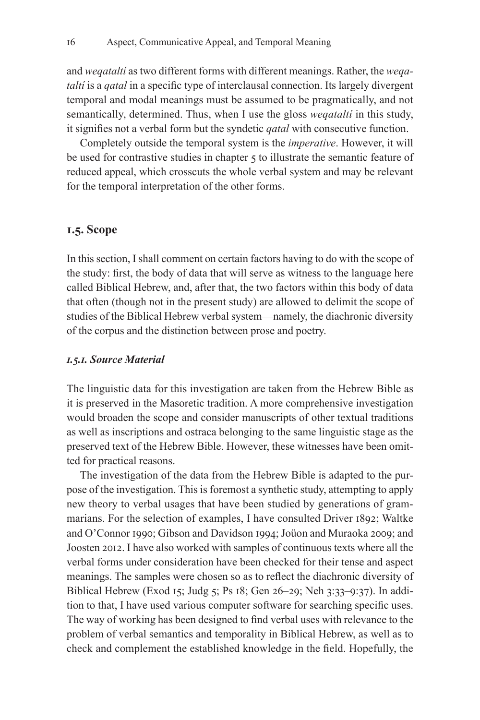and *weqataltí* as two different forms with different meanings. Rather, the *weqataltí* is a *qatal* in a specific type of interclausal connection. Its largely divergent temporal and modal meanings must be assumed to be pragmatically, and not semantically, determined. Thus, when I use the gloss *weqataltí* in this study, it signifies not a verbal form but the syndetic *qatal* with consecutive function.

Completely outside the temporal system is the *imperative*. However, it will be used for contrastive studies in chapter 5 to illustrate the semantic feature of reduced appeal, which crosscuts the whole verbal system and may be relevant for the temporal interpretation of the other forms.

### **1.5. Scope**

In this section, I shall comment on certain factors having to do with the scope of the study: first, the body of data that will serve as witness to the language here called Biblical Hebrew, and, after that, the two factors within this body of data that often (though not in the present study) are allowed to delimit the scope of studies of the Biblical Hebrew verbal system—namely, the diachronic diversity of the corpus and the distinction between prose and poetry.

#### *1.5.1. Source Material*

The linguistic data for this investigation are taken from the Hebrew Bible as it is preserved in the Masoretic tradition. A more comprehensive investigation would broaden the scope and consider manuscripts of other textual traditions as well as inscriptions and ostraca belonging to the same linguistic stage as the preserved text of the Hebrew Bible. However, these witnesses have been omitted for practical reasons.

The investigation of the data from the Hebrew Bible is adapted to the purpose of the investigation. This is foremost a synthetic study, attempting to apply new theory to verbal usages that have been studied by generations of grammarians. For the selection of examples, I have consulted Driver 1892; Waltke and O'Connor 1990; Gibson and Davidson 1994; Joüon and Muraoka 2009; and Joosten 2012. I have also worked with samples of continuous texts where all the verbal forms under consideration have been checked for their tense and aspect meanings. The samples were chosen so as to reflect the diachronic diversity of Biblical Hebrew (Exod 15; Judg 5; Ps 18; Gen 26–29; Neh 3:33–9:37). In addition to that, I have used various computer software for searching specific uses. The way of working has been designed to find verbal uses with relevance to the problem of verbal semantics and temporality in Biblical Hebrew, as well as to check and complement the established knowledge in the field. Hopefully, the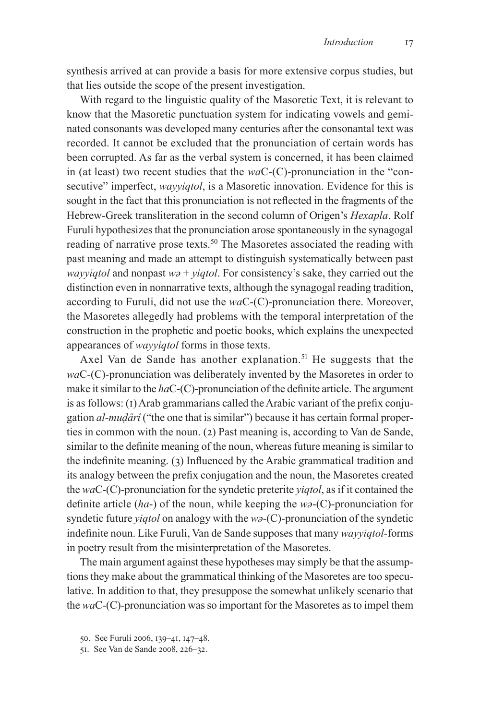synthesis arrived at can provide a basis for more extensive corpus studies, but that lies outside the scope of the present investigation.

With regard to the linguistic quality of the Masoretic Text, it is relevant to know that the Masoretic punctuation system for indicating vowels and geminated consonants was developed many centuries after the consonantal text was recorded. It cannot be excluded that the pronunciation of certain words has been corrupted. As far as the verbal system is concerned, it has been claimed in (at least) two recent studies that the *wa*C-(C)-pronunciation in the "consecutive" imperfect, *wayyiqtol*, is a Masoretic innovation. Evidence for this is sought in the fact that this pronunciation is not reflected in the fragments of the Hebrew-Greek transliteration in the second column of Origen's *Hexapla*. Rolf Furuli hypothesizes that the pronunciation arose spontaneously in the synagogal reading of narrative prose texts.<sup>50</sup> The Masoretes associated the reading with past meaning and made an attempt to distinguish systematically between past *wayyiqtol* and nonpast *wə* + *yiqtol*. For consistency's sake, they carried out the distinction even in nonnarrative texts, although the synagogal reading tradition, according to Furuli, did not use the *wa*C-(C)-pronunciation there. Moreover, the Masoretes allegedly had problems with the temporal interpretation of the construction in the prophetic and poetic books, which explains the unexpected appearances of *wayyiqtol* forms in those texts.

Axel Van de Sande has another explanation.<sup>51</sup> He suggests that the *wa*C-(C)-pronunciation was deliberately invented by the Masoretes in order to make it similar to the *ha*C-(C)-pronunciation of the definite article. The argument is as follows: (1) Arab grammarians called the Arabic variant of the prefix conjugation *al-muḍârî* ("the one that is similar") because it has certain formal properties in common with the noun. (2) Past meaning is, according to Van de Sande, similar to the definite meaning of the noun, whereas future meaning is similar to the indefinite meaning. (3) Influenced by the Arabic grammatical tradition and its analogy between the prefix conjugation and the noun, the Masoretes created the *wa*C-(C)-pronunciation for the syndetic preterite *yiqtol*, as if it contained the definite article (*ha*-) of the noun, while keeping the *wə*-(C)-pronunciation for syndetic future *yiqtol* on analogy with the *wə*-(C)-pronunciation of the syndetic indefinite noun. Like Furuli, Van de Sande supposes that many *wayyiqtol*-forms in poetry result from the misinterpretation of the Masoretes.

The main argument against these hypotheses may simply be that the assumptions they make about the grammatical thinking of the Masoretes are too speculative. In addition to that, they presuppose the somewhat unlikely scenario that the *wa*C-(C)-pronunciation was so important for the Masoretes as to impel them

<sup>50.</sup> See Furuli 2006, 139–41, 147–48.

<sup>51.</sup> See Van de Sande 2008, 226–32.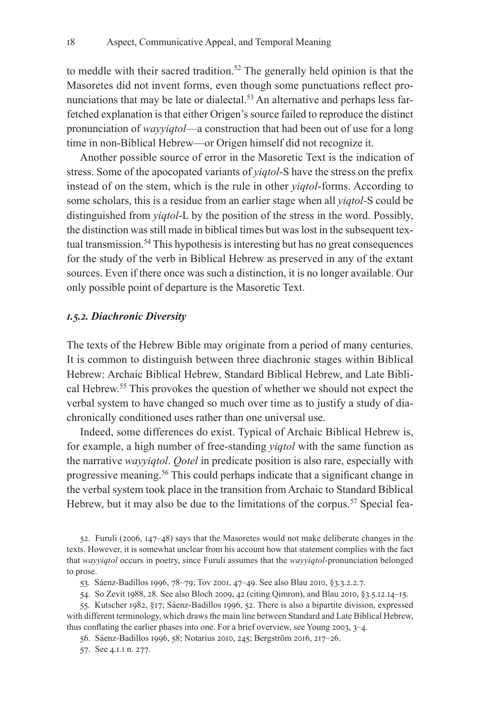to meddle with their sacred tradition.<sup>52</sup> The generally held opinion is that the Masoretes did not invent forms, even though some punctuations reflect pronunciations that may be late or dialectal.<sup>53</sup> An alternative and perhaps less farfetched explanation is that either Origen's source failed to reproduce the distinct pronunciation of *wayyiqtol*—a construction that had been out of use for a long time in non-Biblical Hebrew—or Origen himself did not recognize it.

Another possible source of error in the Masoretic Text is the indication of stress. Some of the apocopated variants of *yiqtol*-S have the stress on the prefix instead of on the stem, which is the rule in other *yiqtol*-forms. According to some scholars, this is a residue from an earlier stage when all *yiqtol*-S could be distinguished from *yiqtol*-L by the position of the stress in the word. Possibly, the distinction was still made in biblical times but was lost in the subsequent textual transmission.<sup>54</sup> This hypothesis is interesting but has no great consequences for the study of the verb in Biblical Hebrew as preserved in any of the extant sources. Even if there once was such a distinction, it is no longer available. Our only possible point of departure is the Masoretic Text.

#### *1.5.2. Diachronic Diversity*

The texts of the Hebrew Bible may originate from a period of many centuries. It is common to distinguish between three diachronic stages within Biblical Hebrew: Archaic Biblical Hebrew, Standard Biblical Hebrew, and Late Biblical Hebrew.55 This provokes the question of whether we should not expect the verbal system to have changed so much over time as to justify a study of diachronically conditioned uses rather than one universal use.

Indeed, some differences do exist. Typical of Archaic Biblical Hebrew is, for example, a high number of free-standing *yiqtol* with the same function as the narrative *wayyiqtol*. *Qotel* in predicate position is also rare, especially with progressive meaning.56 This could perhaps indicate that a significant change in the verbal system took place in the transition from Archaic to Standard Biblical Hebrew, but it may also be due to the limitations of the corpus.<sup>57</sup> Special fea-

52. Furuli (2006, 147–48) says that the Masoretes would not make deliberate changes in the texts. However, it is somewhat unclear from his account how that statement complies with the fact that *wayyiqtol* occurs in poetry, since Furuli assumes that the *wayyiqtol*-pronunciation belonged to prose.

53. Sáenz-Badillos 1996, 78–79; Tov 2001, 47–49. See also Blau 2010, §3.3.2.2.7.

54. So Zevit 1988, 28. See also Bloch 2009, 42 (citing Qimron), and Blau 2010, §3.5.12.14–15.

55. Kutscher 1982, §17; Sáenz-Badillos 1996, 52. There is also a bipartite division, expressed with different terminology, which draws the main line between Standard and Late Biblical Hebrew, thus conflating the earlier phases into one. For a brief overview, see Young 2003, 3–4.

56. Sáenz-Badillos 1996, 58; Notarius 2010, 245; Bergström 2016, 217–26.

57. See 4.1.1 n. 277.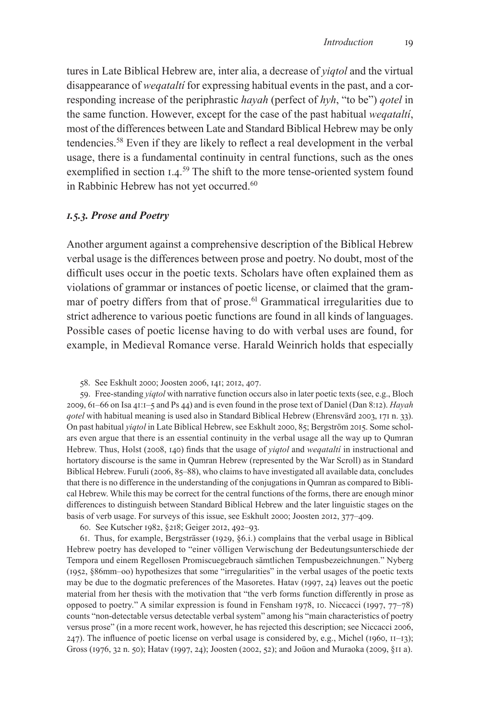tures in Late Biblical Hebrew are, inter alia, a decrease of *yiqtol* and the virtual disappearance of *weqataltí* for expressing habitual events in the past, and a corresponding increase of the periphrastic *hayah* (perfect of *hyh*, "to be") *qotel* in the same function. However, except for the case of the past habitual *weqataltí*, most of the differences between Late and Standard Biblical Hebrew may be only tendencies.58 Even if they are likely to reflect a real development in the verbal usage, there is a fundamental continuity in central functions, such as the ones exemplified in section 1.4.<sup>59</sup> The shift to the more tense-oriented system found in Rabbinic Hebrew has not yet occurred.<sup>60</sup>

#### *1.5.3. Prose and Poetry*

Another argument against a comprehensive description of the Biblical Hebrew verbal usage is the differences between prose and poetry. No doubt, most of the difficult uses occur in the poetic texts. Scholars have often explained them as violations of grammar or instances of poetic license, or claimed that the grammar of poetry differs from that of prose.<sup>61</sup> Grammatical irregularities due to strict adherence to various poetic functions are found in all kinds of languages. Possible cases of poetic license having to do with verbal uses are found, for example, in Medieval Romance verse. Harald Weinrich holds that especially

58. See Eskhult 2000; Joosten 2006, 141; 2012, 407.

59. Free-standing *yiqtol* with narrative function occurs also in later poetic texts (see, e.g., Bloch 2009, 61–66 on Isa 41:1–5 and Ps 44) and is even found in the prose text of Daniel (Dan 8:12). *Hayah qotel* with habitual meaning is used also in Standard Biblical Hebrew (Ehrensvärd 2003, 171 n. 33). On past habitual *yiqtol* in Late Biblical Hebrew, see Eskhult 2000, 85; Bergström 2015. Some scholars even argue that there is an essential continuity in the verbal usage all the way up to Qumran Hebrew. Thus, Holst (2008, 140) finds that the usage of *yiqtol* and *weqataltí* in instructional and hortatory discourse is the same in Qumran Hebrew (represented by the War Scroll) as in Standard Biblical Hebrew. Furuli (2006, 85–88), who claims to have investigated all available data, concludes that there is no difference in the understanding of the conjugations in Qumran as compared to Biblical Hebrew. While this may be correct for the central functions of the forms, there are enough minor differences to distinguish between Standard Biblical Hebrew and the later linguistic stages on the basis of verb usage. For surveys of this issue, see Eskhult 2000; Joosten 2012, 377–409.

60. See Kutscher 1982, §218; Geiger 2012, 492–93.

61. Thus, for example, Bergsträsser (1929, §6.i.) complains that the verbal usage in Biblical Hebrew poetry has developed to "einer völligen Verwischung der Bedeutungsunterschiede der Tempora und einem Regellosen Promiscuegebrauch sämtlichen Tempusbezeichnungen." Nyberg (1952, §86mm–oo) hypothesizes that some "irregularities" in the verbal usages of the poetic texts may be due to the dogmatic preferences of the Masoretes. Hatav (1997, 24) leaves out the poetic material from her thesis with the motivation that "the verb forms function differently in prose as opposed to poetry." A similar expression is found in Fensham 1978, 10. Niccacci (1997, 77–78) counts "non-detectable versus detectable verbal system" among his "main characteristics of poetry versus prose" (in a more recent work, however, he has rejected this description; see Niccacci 2006,  $247$ ). The influence of poetic license on verbal usage is considered by, e.g., Michel (1960,  $11$ –13); Gross (1976, 32 n. 50); Hatav (1997, 24); Joosten (2002, 52); and Joüon and Muraoka (2009, §11 a).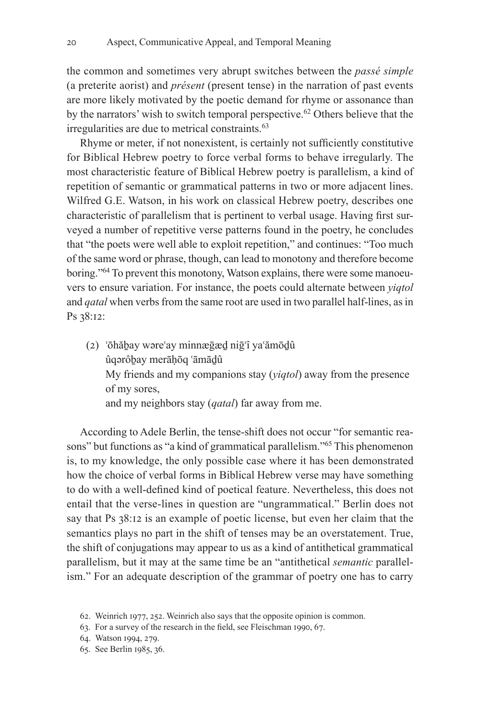the common and sometimes very abrupt switches between the *passé simple* (a preterite aorist) and *présent* (present tense) in the narration of past events are more likely motivated by the poetic demand for rhyme or assonance than by the narrators' wish to switch temporal perspective.<sup>62</sup> Others believe that the irregularities are due to metrical constraints.<sup>63</sup>

Rhyme or meter, if not nonexistent, is certainly not sufficiently constitutive for Biblical Hebrew poetry to force verbal forms to behave irregularly. The most characteristic feature of Biblical Hebrew poetry is parallelism, a kind of repetition of semantic or grammatical patterns in two or more adjacent lines. Wilfred G.E. Watson, in his work on classical Hebrew poetry, describes one characteristic of parallelism that is pertinent to verbal usage. Having first surveyed a number of repetitive verse patterns found in the poetry, he concludes that "the poets were well able to exploit repetition," and continues: "Too much of the same word or phrase, though, can lead to monotony and therefore become boring."<sup>64</sup> To prevent this monotony, Watson explains, there were some manoeuvers to ensure variation. For instance, the poets could alternate between *yiqtol* and *qatal* when verbs from the same root are used in two parallel half-lines, as in Ps 38:12:

(2) ʾōhăḇay wəreʿay minnæḡæḏ niḡʿî yaʿămōḏû ûqərôḇay merāḥōq ʿāmāḏû My friends and my companions stay (*yiqtol*) away from the presence of my sores, and my neighbors stay (*qatal*) far away from me.

According to Adele Berlin, the tense-shift does not occur "for semantic reasons" but functions as "a kind of grammatical parallelism."<sup>65</sup> This phenomenon is, to my knowledge, the only possible case where it has been demonstrated how the choice of verbal forms in Biblical Hebrew verse may have something to do with a well-defined kind of poetical feature. Nevertheless, this does not entail that the verse-lines in question are "ungrammatical." Berlin does not say that Ps 38:12 is an example of poetic license, but even her claim that the semantics plays no part in the shift of tenses may be an overstatement. True, the shift of conjugations may appear to us as a kind of antithetical grammatical parallelism, but it may at the same time be an "antithetical *semantic* parallelism." For an adequate description of the grammar of poetry one has to carry

<sup>62.</sup> Weinrich 1977, 252. Weinrich also says that the opposite opinion is common.

<sup>63.</sup> For a survey of the research in the field, see Fleischman 1990, 67.

<sup>64.</sup> Watson 1994, 279.

<sup>65.</sup> See Berlin 1985, 36.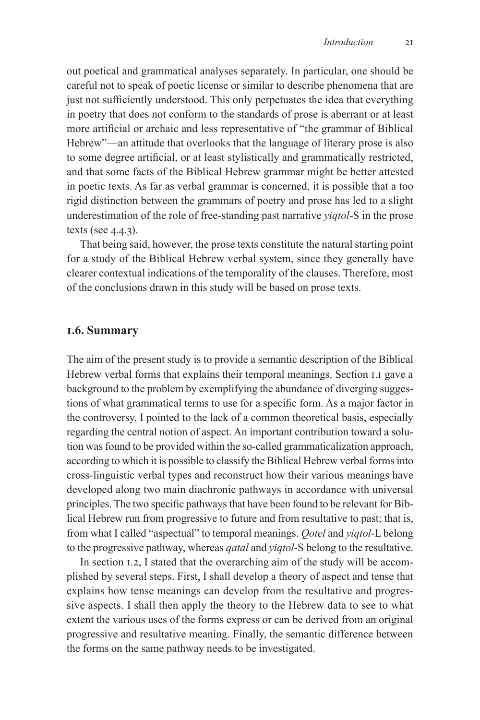out poetical and grammatical analyses separately. In particular, one should be careful not to speak of poetic license or similar to describe phenomena that are just not sufficiently understood. This only perpetuates the idea that everything in poetry that does not conform to the standards of prose is aberrant or at least more artificial or archaic and less representative of "the grammar of Biblical Hebrew"—an attitude that overlooks that the language of literary prose is also to some degree artificial, or at least stylistically and grammatically restricted, and that some facts of the Biblical Hebrew grammar might be better attested in poetic texts. As far as verbal grammar is concerned, it is possible that a too rigid distinction between the grammars of poetry and prose has led to a slight underestimation of the role of free-standing past narrative *yiqtol*-S in the prose texts (see 4.4.3).

That being said, however, the prose texts constitute the natural starting point for a study of the Biblical Hebrew verbal system, since they generally have clearer contextual indications of the temporality of the clauses. Therefore, most of the conclusions drawn in this study will be based on prose texts.

## **1.6. Summary**

The aim of the present study is to provide a semantic description of the Biblical Hebrew verbal forms that explains their temporal meanings. Section 1.1 gave a background to the problem by exemplifying the abundance of diverging suggestions of what grammatical terms to use for a specific form. As a major factor in the controversy, I pointed to the lack of a common theoretical basis, especially regarding the central notion of aspect. An important contribution toward a solution was found to be provided within the so-called grammaticalization approach, according to which it is possible to classify the Biblical Hebrew verbal forms into cross-linguistic verbal types and reconstruct how their various meanings have developed along two main diachronic pathways in accordance with universal principles. The two specific pathways that have been found to be relevant for Biblical Hebrew run from progressive to future and from resultative to past; that is, from what I called "aspectual" to temporal meanings. *Qotel* and *yiqtol*-L belong to the progressive pathway, whereas *qatal* and *yiqtol*-S belong to the resultative.

In section 1.2, I stated that the overarching aim of the study will be accomplished by several steps. First, I shall develop a theory of aspect and tense that explains how tense meanings can develop from the resultative and progressive aspects. I shall then apply the theory to the Hebrew data to see to what extent the various uses of the forms express or can be derived from an original progressive and resultative meaning. Finally, the semantic difference between the forms on the same pathway needs to be investigated.